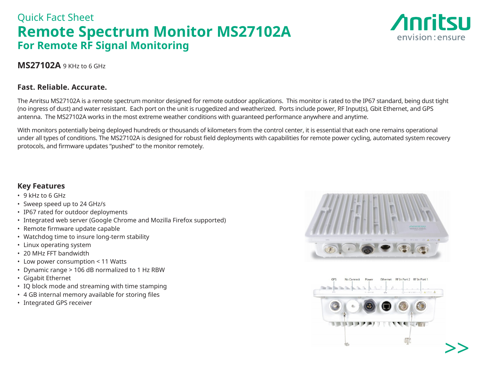# Quick Fact Sheet **Remote Spectrum Monitor MS27102A For Remote RF Signal Monitoring**



### **MS27102A** 9 KHz to 6 GHz

#### **Fast. Reliable. Accurate.**

The Anritsu MS27102A is a remote spectrum monitor designed for remote outdoor applications. This monitor is rated to the IP67 standard, being dust tight (no ingress of dust) and water resistant. Each port on the unit is ruggedized and weatherized. Ports include power, RF Input(s), Gbit Ethernet, and GPS antenna. The MS27102A works in the most extreme weather conditions with guaranteed performance anywhere and anytime.

With monitors potentially being deployed hundreds or thousands of kilometers from the control center, it is essential that each one remains operational under all types of conditions. The MS27102A is designed for robust field deployments with capabilities for remote power cycling, automated system recovery protocols, and firmware updates "pushed" to the monitor remotely.

### **Key Features**

- 9 kHz to 6 GHz
- Sweep speed up to 24 GHz/s
- IP67 rated for outdoor deployments
- Integrated web server (Google Chrome and Mozilla Firefox supported)
- Remote firmware update capable
- Watchdog time to insure long-term stability
- Linux operating system
- 20 MHz FFT bandwidth
- Low power consumption < 11 Watts
- Dynamic range > 106 dB normalized to 1 Hz RBW
- Gigabit Ethernet
- IQ block mode and streaming with time stamping
- 4 GB internal memory available for storing files
- Integrated GPS receiver